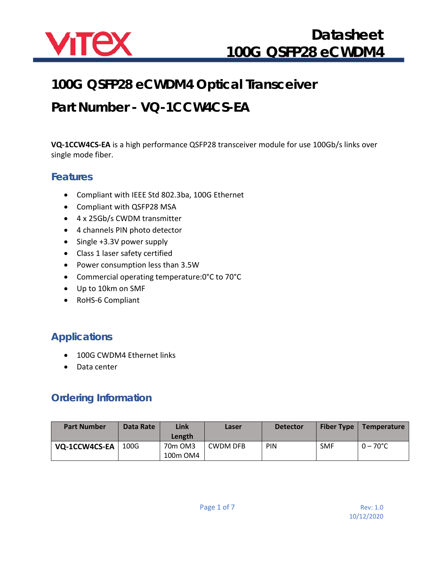

## **100G QSFP28 eCWDM4 Optical Transceiver**

## **Part Number - VQ-1CCW4CS-EA**

**VQ-1CCW4CS-EA** is a high performance QSFP28 transceiver module for use 100Gb/s links over single mode fiber.

#### **Features**

- Compliant with IEEE Std 802.3ba, 100G Ethernet
- Compliant with QSFP28 MSA
- 4 x 25Gb/s CWDM transmitter
- 4 channels PIN photo detector
- Single +3.3V power supply
- Class 1 laser safety certified
- Power consumption less than 3.5W
- Commercial operating temperature:0°C to 70°C
- Up to 10km on SMF
- RoHS-6 Compliant

### **Applications**

- 100G CWDM4 Ethernet links
- Data center

### **Ordering Information**

| <b>Part Number</b> | Data Rate | Link<br>Length      | Laser           | <b>Detector</b> | <b>Fiber Type</b> | Temperature        |
|--------------------|-----------|---------------------|-----------------|-----------------|-------------------|--------------------|
| VQ-1CCW4CS-EA      | 100G      | 70m OM3<br>100m OM4 | <b>CWDM DFB</b> | PIN             | <b>SMF</b>        | $0 - 70^{\circ}$ C |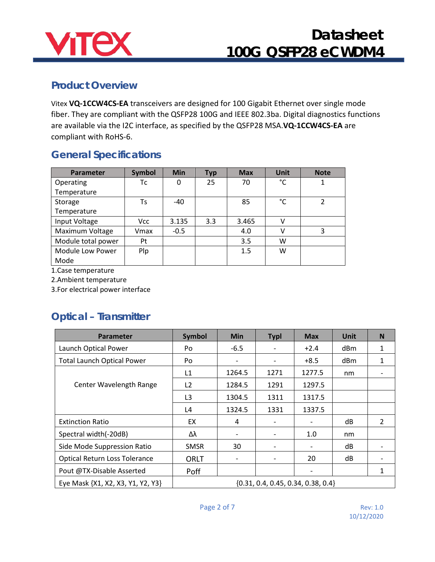

#### **Product Overview**

Vitex **VQ-1CCW4CS-EA** transceivers are designed for 100 Gigabit Ethernet over single mode fiber. They are compliant with the QSFP28 100G and IEEE 802.3ba. Digital diagnostics functions are available via the I2C interface, as specified by the QSFP28 MSA.**VQ-1CCW4CS-EA** are compliant with RoHS-6.

### **General Specifications**

| <b>Parameter</b>   | <b>Symbol</b> | <b>Min</b> | <b>Typ</b> | <b>Max</b> | <b>Unit</b> | <b>Note</b>    |
|--------------------|---------------|------------|------------|------------|-------------|----------------|
| Operating          | Тc            | 0          | 25         | 70         | °C          |                |
| Temperature        |               |            |            |            |             |                |
| Storage            | Ts            | $-40$      |            | 85         | °C          | $\mathfrak{p}$ |
| Temperature        |               |            |            |            |             |                |
| Input Voltage      | Vcc           | 3.135      | 3.3        | 3.465      | v           |                |
| Maximum Voltage    | Vmax          | $-0.5$     |            | 4.0        | v           | 3              |
| Module total power | Pt            |            |            | 3.5        | w           |                |
| Module Low Power   | Plp           |            |            | 1.5        | W           |                |
| Mode               |               |            |            |            |             |                |

1.Case temperature

2.Ambient temperature

3.For electrical power interface

### **Optical – Transmitter**

| <b>Parameter</b>                     | Symbol                                 | <b>Min</b>               | <b>Typl</b>                  | <b>Max</b>               | Unit | N |
|--------------------------------------|----------------------------------------|--------------------------|------------------------------|--------------------------|------|---|
| Launch Optical Power                 | Po                                     | $-6.5$                   | $\qquad \qquad \blacksquare$ | $+2.4$                   | dBm  | 1 |
| <b>Total Launch Optical Power</b>    | Po                                     | $\overline{\phantom{a}}$ | $\overline{\phantom{a}}$     | $+8.5$                   | dBm  | 1 |
|                                      | L1                                     | 1264.5                   | 1271                         | 1277.5                   | nm   |   |
| Center Wavelength Range              | L <sub>2</sub>                         | 1284.5                   | 1291                         | 1297.5                   |      |   |
|                                      | L <sub>3</sub>                         | 1304.5                   | 1311                         | 1317.5                   |      |   |
|                                      | L4                                     | 1324.5                   | 1331                         | 1337.5                   |      |   |
| <b>Extinction Ratio</b>              | EX                                     | 4                        | -                            | ٠                        | dB   | 2 |
| Spectral width(-20dB)                | Δλ                                     |                          | $\overline{\phantom{0}}$     | 1.0                      | nm   |   |
| Side Mode Suppression Ratio          | <b>SMSR</b>                            | 30                       | $\overline{\phantom{a}}$     | $\overline{\phantom{a}}$ | dB   |   |
| <b>Optical Return Loss Tolerance</b> | <b>ORLT</b>                            | $\overline{\phantom{a}}$ | $\overline{\phantom{a}}$     | 20                       | dB   |   |
| Pout @TX-Disable Asserted            | Poff                                   |                          |                              |                          |      |   |
| Eye Mask {X1, X2, X3, Y1, Y2, Y3}    | $\{0.31, 0.4, 0.45, 0.34, 0.38, 0.4\}$ |                          |                              |                          |      |   |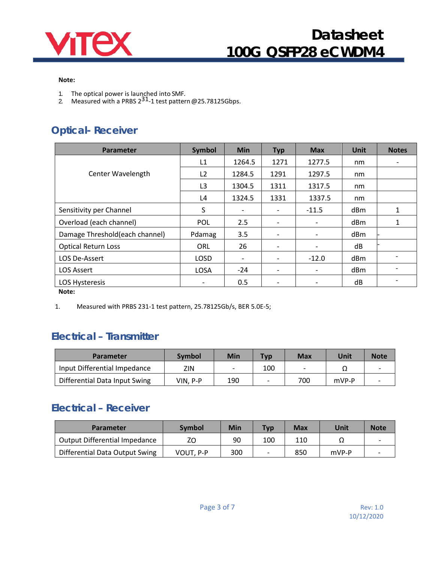

#### **Note:**

- 
- 1. The optical power is launched into SMF.<br>2. Measured with a PRBS 2<sup>31</sup>-1 test pattern @25.78125Gbps.

### **Optical- Receiver**

| <b>Parameter</b>               | <b>Symbol</b>            | <b>Min</b>               | <b>Typ</b>               | <b>Max</b> | <b>Unit</b> | <b>Notes</b> |
|--------------------------------|--------------------------|--------------------------|--------------------------|------------|-------------|--------------|
|                                | L1                       | 1264.5                   | 1271                     | 1277.5     | nm          |              |
| <b>Center Wavelength</b>       | L2                       | 1284.5                   | 1291                     | 1297.5     | nm          |              |
|                                | L <sub>3</sub>           | 1304.5                   | 1311                     | 1317.5     | nm          |              |
|                                | L4                       | 1324.5                   | 1331                     | 1337.5     | nm          |              |
| Sensitivity per Channel        | S                        |                          |                          | $-11.5$    | dBm         | 1            |
| Overload (each channel)        | POL                      | 2.5                      |                          |            | dBm         | 1            |
| Damage Threshold(each channel) | Pdamag                   | 3.5                      |                          |            | dBm         |              |
| <b>Optical Return Loss</b>     | ORL                      | 26                       |                          |            | dB          |              |
| LOS De-Assert                  | <b>LOSD</b>              | $\overline{\phantom{a}}$ |                          | $-12.0$    | dBm         |              |
| <b>LOS Assert</b>              | <b>LOSA</b>              | $-24$                    | $\overline{\phantom{a}}$ | -          | dBm         |              |
| LOS Hysteresis                 | $\overline{\phantom{a}}$ | 0.5                      | $\overline{\phantom{a}}$ | -          | dB          |              |
| Note:                          |                          |                          |                          |            |             |              |

**Note:**

1. Measured with PRBS 231-1 test pattern, 25.78125Gb/s, BER 5.0E-5;

#### **Electrical – Transmitter**

| Parameter                     | Symbol   | Min | <b>Typ</b> | <b>Max</b> | Unit  | <b>Note</b> |
|-------------------------------|----------|-----|------------|------------|-------|-------------|
| Input Differential Impedance  | ZIN      |     | 100        |            |       | -           |
| Differential Data Input Swing | VIN. P-P | 190 |            | 700        | mVP-P |             |

### **Electrical – Receiver**

| Parameter                            | <b>Symbol</b> | Min | <b>Typ</b> | Max | Unit  | <b>Note</b> |
|--------------------------------------|---------------|-----|------------|-----|-------|-------------|
| <b>Output Differential Impedance</b> | ΖO            | 90  | 100        | 110 |       |             |
| Differential Data Output Swing       | VOUT. P-P     | 300 | -          | 850 | mVP-P |             |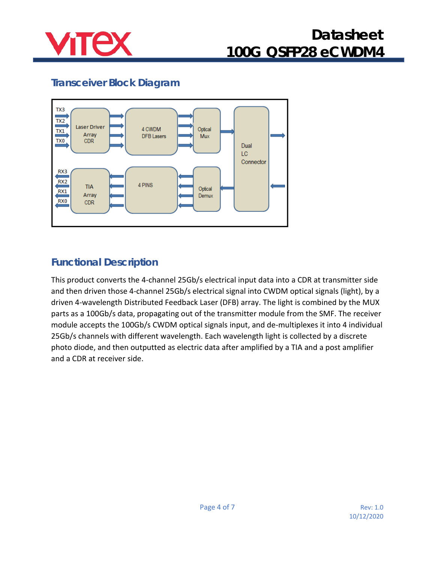

### **Transceiver Block Diagram**



### **Functional Description**

This product converts the 4-channel 25Gb/s electrical input data into a CDR at transmitter side and then driven those 4-channel 25Gb/s electrical signal into CWDM optical signals (light), by a driven 4-wavelength Distributed Feedback Laser (DFB) array. The light is combined by the MUX parts as a 100Gb/s data, propagating out of the transmitter module from the SMF. The receiver module accepts the 100Gb/s CWDM optical signals input, and de-multiplexes it into 4 individual 25Gb/s channels with different wavelength. Each wavelength light is collected by a discrete photo diode, and then outputted as electric data after amplified by a TIA and a post amplifier and a CDR at receiver side.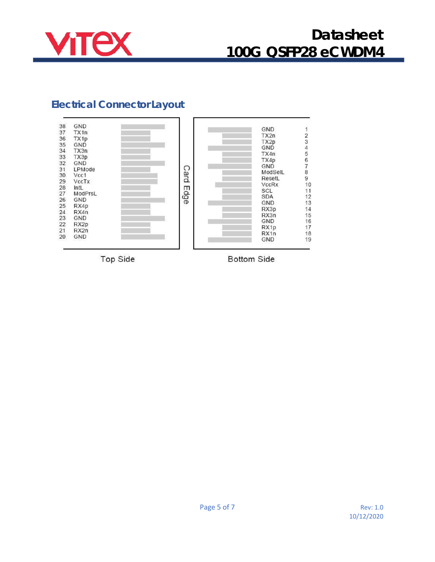

### **Electrical Connector Layout**



Top Side

**Bottom Side**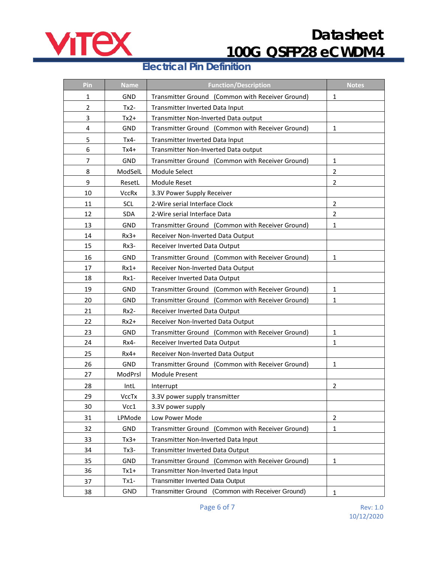

#### **Electrical Pin Definition**

| Pin            | <b>Name</b>  | <b>Function/Description</b>                      | <b>Notes</b>   |
|----------------|--------------|--------------------------------------------------|----------------|
| $\mathbf{1}$   | GND          | Transmitter Ground (Common with Receiver Ground) | $\mathbf{1}$   |
| $\overline{2}$ | $Tx2-$       | Transmitter Inverted Data Input                  |                |
| 3              | $Tx2+$       | Transmitter Non-Inverted Data output             |                |
| 4              | GND          | Transmitter Ground (Common with Receiver Ground) | $\mathbf{1}$   |
| 5              | $Tx4-$       | Transmitter Inverted Data Input                  |                |
| 6              | $Tx4+$       | Transmitter Non-Inverted Data output             |                |
| 7              | <b>GND</b>   | Transmitter Ground (Common with Receiver Ground) | 1              |
| 8              | ModSelL      | Module Select                                    | $\overline{2}$ |
| 9              | ResetL       | Module Reset                                     | $\overline{2}$ |
| 10             | <b>VccRx</b> | 3.3V Power Supply Receiver                       |                |
| 11             | <b>SCL</b>   | 2-Wire serial Interface Clock                    | $\overline{2}$ |
| 12             | SDA          | 2-Wire serial Interface Data                     | $\overline{2}$ |
| 13             | GND          | Transmitter Ground (Common with Receiver Ground) | $\mathbf{1}$   |
| 14             | $Rx3+$       | Receiver Non-Inverted Data Output                |                |
| 15             | $Rx3-$       | Receiver Inverted Data Output                    |                |
| 16             | <b>GND</b>   | Transmitter Ground (Common with Receiver Ground) | 1              |
| 17             | $Rx1+$       | Receiver Non-Inverted Data Output                |                |
| 18             | $Rx1-$       | Receiver Inverted Data Output                    |                |
| 19             | GND          | Transmitter Ground (Common with Receiver Ground) | 1              |
| 20             | GND          | Transmitter Ground (Common with Receiver Ground) | $\mathbf{1}$   |
| 21             | $Rx2-$       | Receiver Inverted Data Output                    |                |
| 22             | $Rx2+$       | Receiver Non-Inverted Data Output                |                |
| 23             | GND          | Transmitter Ground (Common with Receiver Ground) | 1              |
| 24             | $Rx4-$       | Receiver Inverted Data Output                    | $\mathbf{1}$   |
| 25             | $Rx4+$       | Receiver Non-Inverted Data Output                |                |
| 26             | GND          | Transmitter Ground (Common with Receiver Ground) | $\mathbf{1}$   |
| 27             | ModPrsl      | <b>Module Present</b>                            |                |
| 28             | IntL         | Interrupt                                        | 2              |
| 29             | VccTx        | 3.3V power supply transmitter                    |                |
| 30             | Vcc1         | 3.3V power supply                                |                |
| 31             | LPMode       | Low Power Mode                                   | $\overline{2}$ |
| 32             | GND          | Transmitter Ground (Common with Receiver Ground) | $\mathbf{1}$   |
| 33             | Tx3+         | Transmitter Non-Inverted Data Input              |                |
| 34             | $Tx3-$       | Transmitter Inverted Data Output                 |                |
| 35             | GND          | Transmitter Ground (Common with Receiver Ground) | $\mathbf{1}$   |
| 36             | $Tx1+$       | Transmitter Non-Inverted Data Input              |                |
| 37             | $Tx1-$       | Transmitter Inverted Data Output                 |                |
| 38             | <b>GND</b>   | Transmitter Ground (Common with Receiver Ground) | $\mathbf{1}$   |